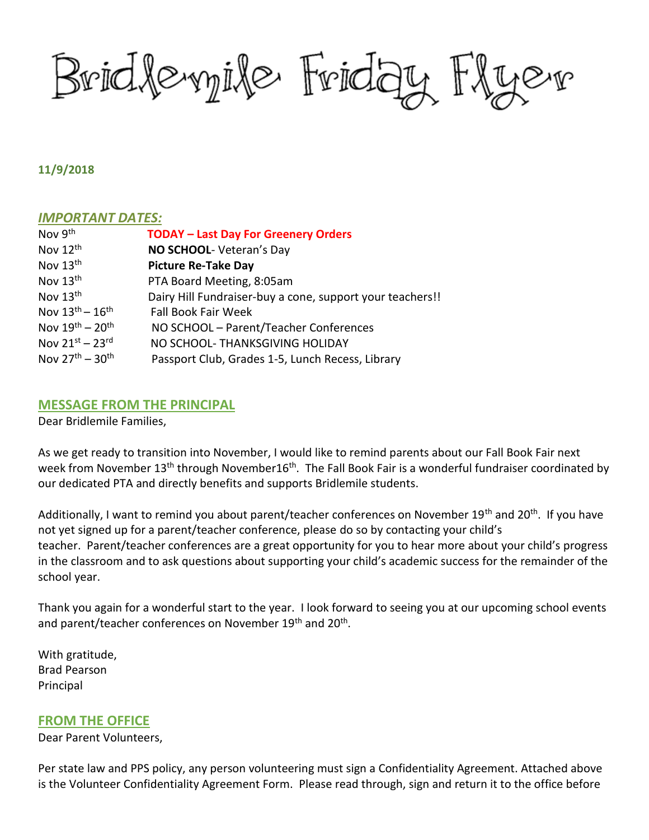Bridlemile Friday Flyer

#### **11/9/2018**

### *IMPORTANT DATES:*

| Nov 9 <sup>th</sup>       | <b>TODAY - Last Day For Greenery Orders</b>               |
|---------------------------|-----------------------------------------------------------|
| Nov 12 <sup>th</sup>      | NO SCHOOL- Veteran's Day                                  |
| Nov $13th$                | <b>Picture Re-Take Day</b>                                |
| Nov $13th$                | PTA Board Meeting, 8:05am                                 |
| Nov 13th                  | Dairy Hill Fundraiser-buy a cone, support your teachers!! |
| Nov $13^{th} - 16^{th}$   | <b>Fall Book Fair Week</b>                                |
| Nov $19^{th} - 20^{th}$   | NO SCHOOL - Parent/Teacher Conferences                    |
| Nov $21^{st}$ – $23^{rd}$ | NO SCHOOL- THANKSGIVING HOLIDAY                           |
| Nov $27^{th} - 30^{th}$   | Passport Club, Grades 1-5, Lunch Recess, Library          |

### **MESSAGE FROM THE PRINCIPAL**

Dear Bridlemile Families,

As we get ready to transition into November, I would like to remind parents about our Fall Book Fair next week from November 13<sup>th</sup> through November16<sup>th</sup>. The Fall Book Fair is a wonderful fundraiser coordinated by our dedicated PTA and directly benefits and supports Bridlemile students.

Additionally, I want to remind you about parent/teacher conferences on November 19<sup>th</sup> and 20<sup>th</sup>. If you have not yet signed up for a parent/teacher conference, please do so by contacting your child's teacher. Parent/teacher conferences are a great opportunity for you to hear more about your child's progress in the classroom and to ask questions about supporting your child's academic success for the remainder of the school year.

Thank you again for a wonderful start to the year. I look forward to seeing you at our upcoming school events and parent/teacher conferences on November 19<sup>th</sup> and 20<sup>th</sup>.

With gratitude, Brad Pearson Principal

### **FROM THE OFFICE**

Dear Parent Volunteers,

Per state law and PPS policy, any person volunteering must sign a Confidentiality Agreement. Attached above is the Volunteer Confidentiality Agreement Form. Please read through, sign and return it to the office before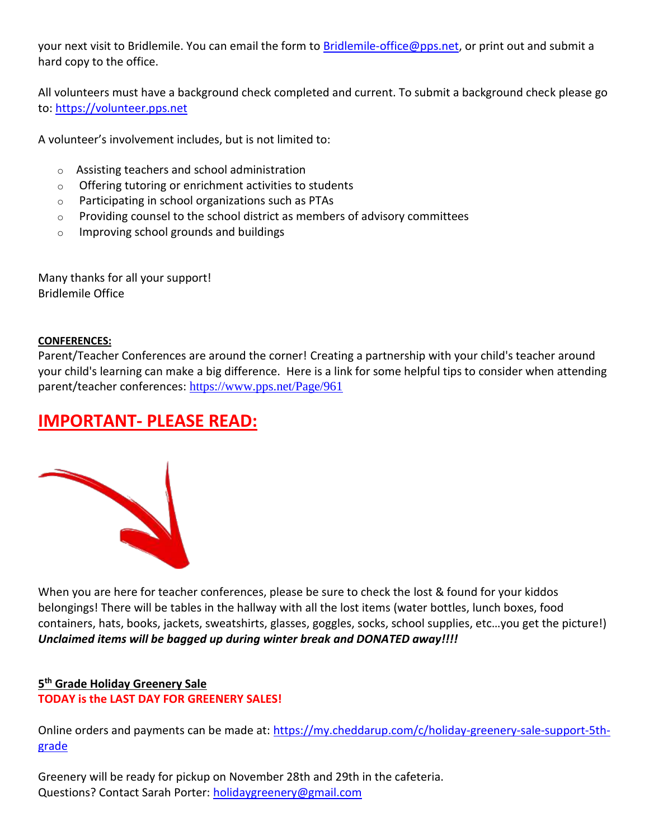your next visit to Bridlemile. You can email the form to [Bridlemile-office@pps.net,](mailto:Bridlemile-office@pps.net) or print out and submit a hard copy to the office.

All volunteers must have a background check completed and current. To submit a background check please go to: [https://volunteer.pps.net](https://volunteer.pps.net/)

A volunteer's involvement includes, but is not limited to:

- o Assisting teachers and school administration
- o Offering tutoring or enrichment activities to students
- o Participating in school organizations such as PTAs
- $\circ$  Providing counsel to the school district as members of advisory committees
- o Improving school grounds and buildings

Many thanks for all your support! Bridlemile Office

### **CONFERENCES:**

Parent/Teacher Conferences are around the corner! Creating a partnership with your child's teacher around your child's learning can make a big difference. Here is a link for some helpful tips to consider when attending parent/teacher conferences: <https://www.pps.net/Page/961>

# **IMPORTANT- PLEASE READ:**



When you are here for teacher conferences, please be sure to check the lost & found for your kiddos belongings! There will be tables in the hallway with all the lost items (water bottles, lunch boxes, food containers, hats, books, jackets, sweatshirts, glasses, goggles, socks, school supplies, etc…you get the picture!) *Unclaimed items will be bagged up during winter break and DONATED away!!!!* 

# **5 th Grade Holiday Greenery Sale TODAY is the LAST DAY FOR GREENERY SALES!**

Online orders and payments can be made at: [https://my.cheddarup.com/c/holiday-greenery-sale-support-5th](https://my.cheddarup.com/c/holiday-greenery-sale-support-5th-grade)[grade](https://my.cheddarup.com/c/holiday-greenery-sale-support-5th-grade)

Greenery will be ready for pickup on November 28th and 29th in the cafeteria. Questions? Contact Sarah Porter: [holidaygreenery@gmail.com](mailto:holidaygreenery@gmail.com)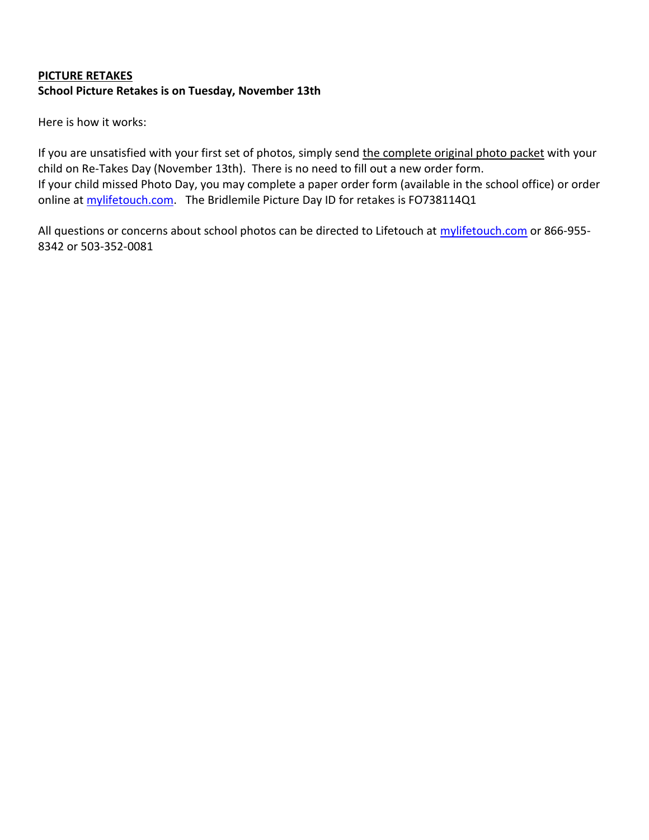## **PICTURE RETAKES**

### **School Picture Retakes is on Tuesday, November 13th**

Here is how it works:

If you are unsatisfied with your first set of photos, simply send the complete original photo packet with your child on Re-Takes Day (November 13th). There is no need to fill out a new order form. If your child missed Photo Day, you may complete a paper order form (available in the school office) or order online at [mylifetouch.com.](http://mylifetouch.com/) The Bridlemile Picture Day ID for retakes is FO738114Q1

All questions or concerns about school photos can be directed to Lifetouch at [mylifetouch.com](http://mylifetouch.com/) or 866-955-8342 or 503-352-0081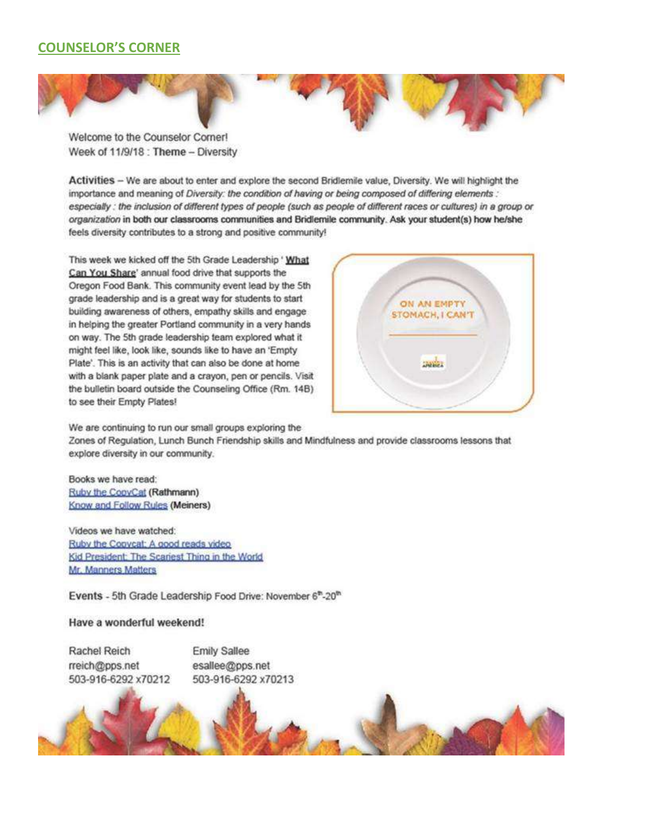# **COUNSELOR'S CORNER**



Welcome to the Counselor Corner! Week of 11/9/18 : Theme - Diversity

Activities - We are about to enter and explore the second Bridlemile value, Diversity. We will highlight the importance and meaning of Diversity: the condition of having or being composed of differing elements: especially : the inclusion of different types of people (such as people of different races or cultures) in a group or organization in both our classrooms communities and Bridlemile community. Ask your student(s) how he/she feels diversity contributes to a strong and positive community!

This week we kicked off the 5th Grade Leadership ' What Can You Share' annual food drive that supports the Oregon Food Bank. This community event lead by the 5th grade leadership and is a great way for students to start building awareness of others, empathy skills and engage in helping the greater Portland community in a very hands on way. The 5th grade leadership team explored what it might feel like, look like, sounds like to have an 'Empty Plate'. This is an activity that can also be done at home with a blank paper plate and a crayon, pen or pencils. Visit the bulletin board outside the Counseling Office (Rm. 14B) to see their Empty Plates!



We are continuing to run our small groups exploring the Zones of Regulation, Lunch Bunch Friendship skills and Mindfulness and provide classrooms lessons that explore diversity in our community.

Books we have read: Ruby the CopyCat (Rathmann) Know and Follow Rules (Meiners)

Videos we have watched: Ruby the Coovcat: A good reads video Kid President: The Scariest Thing in the World Mr. Manners Matters

Events - 5th Grade Leadership Food Drive: November 6<sup>th</sup>-20<sup>th</sup>

#### Have a wonderful weekend!

Rachel Reich rreich@pps.net 503-916-6292 x70212 **Emily Sallee** esallee@pps.net 503-916-6292 x70213

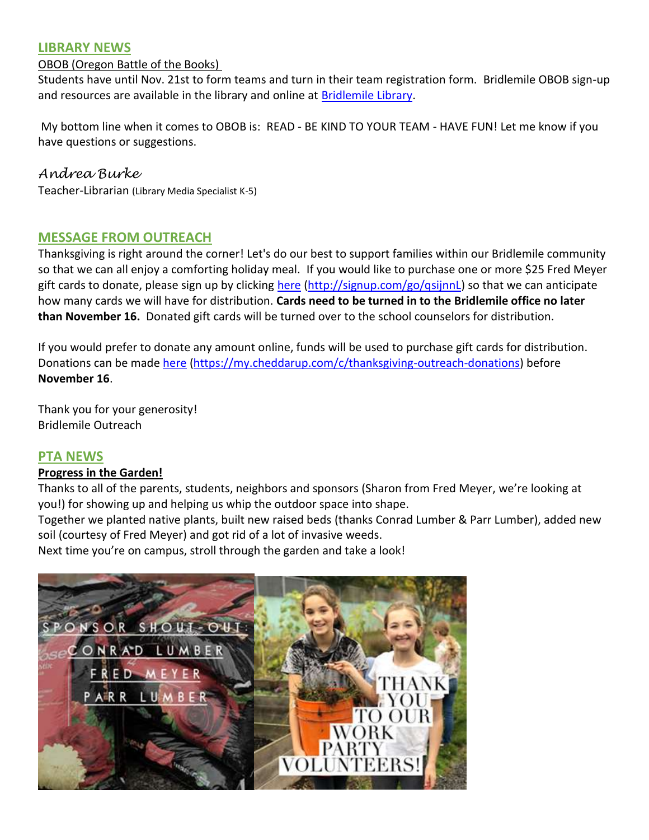# **LIBRARY NEWS**

# OBOB (Oregon Battle of the Books)

Students have until Nov. 21st to form teams and turn in their team registration form. Bridlemile OBOB sign-up and resources are available in the library and online at [Bridlemile Library.](https://sites.google.com/a/apps4pps.net/bridlemile-library/)

My bottom line when it comes to OBOB is: READ - BE KIND TO YOUR TEAM - HAVE FUN! Let me know if you have questions or suggestions.

# *Andrea Burke*

Teacher-Librarian (Library Media Specialist K-5)

# **MESSAGE FROM OUTREACH**

Thanksgiving is right around the corner! Let's do our best to support families within our Bridlemile community so that we can all enjoy a comforting holiday meal. If you would like to purchase one or more \$25 Fred Meyer gift cards to donate, please sign up by clicking [here](http://signup.com/go/qsijnnL) [\(http://signup.com/go/qsijnnL\)](http://signup.com/go/qsijnnL) so that we can anticipate how many cards we will have for distribution. **Cards need to be turned in to the Bridlemile office no later than November 16.** Donated gift cards will be turned over to the school counselors for distribution.

If you would prefer to donate any amount online, funds will be used to purchase gift cards for distribution. Donations can be mad[e here](https://my.cheddarup.com/c/thanksgiving-outreach-donations) [\(https://my.cheddarup.com/c/thanksgiving-outreach-donations\)](https://my.cheddarup.com/c/thanksgiving-outreach-donations) before **November 16**.

Thank you for your generosity! Bridlemile Outreach

# **PTA NEWS**

# **Progress in the Garden!**

Thanks to all of the parents, students, neighbors and sponsors (Sharon from Fred Meyer, we're looking at you!) for showing up and helping us whip the outdoor space into shape.

Together we planted native plants, built new raised beds (thanks Conrad Lumber & Parr Lumber), added new soil (courtesy of Fred Meyer) and got rid of a lot of invasive weeds.

Next time you're on campus, stroll through the garden and take a look!

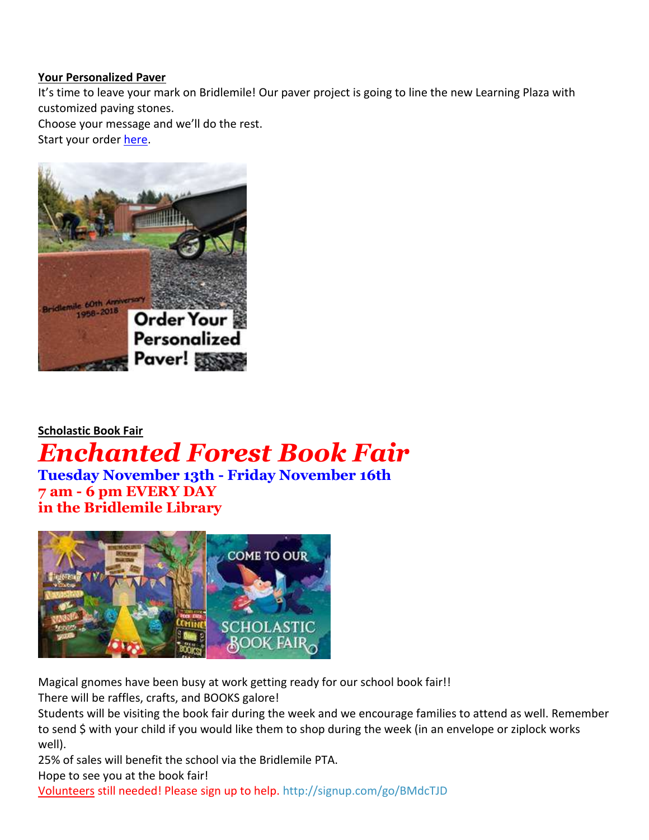### **Your Personalized Paver**

It's time to leave your mark on Bridlemile! Our paver project is going to line the new Learning Plaza with customized paving stones.

Choose your message and we'll do the rest.

Start your order [here.](https://static1.squarespace.com/static/59adf343d2b85742f76e34aa/t/5baeb304a4222f4166bcbf03/1538175750214/Bridlemile60Commemorative+Pavers.pdf)



# **Scholastic Book Fair** *Enchanted Forest Book Fair* **Tuesday November 13th - Friday November 16th**

**7 am - 6 pm EVERY DAY in the Bridlemile Library**



Magical gnomes have been busy at work getting ready for our school book fair!!

There will be raffles, crafts, and BOOKS galore!

Students will be visiting the book fair during the week and we encourage families to attend as well. Remember to send \$ with your child if you would like them to shop during the week (in an envelope or ziplock works well).

25% of sales will benefit the school via the Bridlemile PTA.

Hope to see you at the book fair!

Volunteers still needed! Please sign up to help. <http://signup.com/go/BMdcTJD>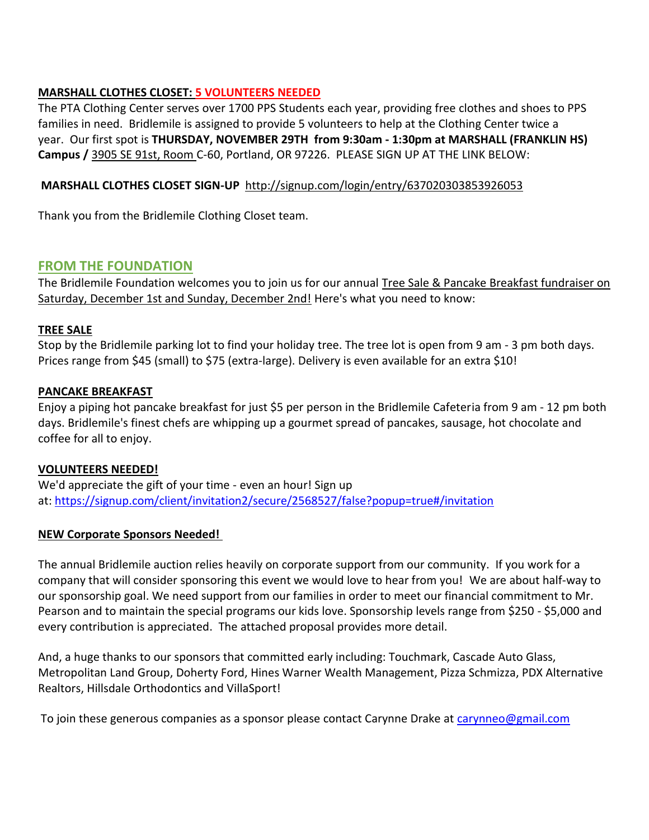# **MARSHALL CLOTHES CLOSET: 5 VOLUNTEERS NEEDED**

The PTA Clothing Center serves over 1700 PPS Students each year, providing free clothes and shoes to PPS families in need. Bridlemile is assigned to provide 5 volunteers to help at the Clothing Center twice a year. Our first spot is **THURSDAY, NOVEMBER 29TH from 9:30am - 1:30pm at MARSHALL (FRANKLIN HS) Campus /** [3905 SE 91st, Room](https://maps.google.com/?q=3905+SE+91st,+Room+B&entry=gmail&source=g) C-60, Portland, OR 97226. PLEASE SIGN UP AT THE LINK BELOW:

# **MARSHALL CLOTHES CLOSET SIGN-UP** <http://signup.com/login/entry/637020303853926053>

Thank you from the Bridlemile Clothing Closet team.

# **FROM THE FOUNDATION**

The Bridlemile Foundation welcomes you to join us for our annual Tree Sale & Pancake Breakfast fundraiser on Saturday, December 1st and Sunday, December 2nd! Here's what you need to know:

### **TREE SALE**

Stop by the Bridlemile parking lot to find your holiday tree. The tree lot is open from 9 am - 3 pm both days. Prices range from \$45 (small) to \$75 (extra-large). Delivery is even available for an extra \$10!

### **PANCAKE BREAKFAST**

Enjoy a piping hot pancake breakfast for just \$5 per person in the Bridlemile Cafeteria from 9 am - 12 pm both days. Bridlemile's finest chefs are whipping up a gourmet spread of pancakes, sausage, hot chocolate and coffee for all to enjoy.

### **VOLUNTEERS NEEDED!**

We'd appreciate the gift of your time - even an hour! Sign up at: <https://signup.com/client/invitation2/secure/2568527/false?popup=true#/invitation>

### **NEW Corporate Sponsors Needed!**

The annual Bridlemile auction relies heavily on corporate support from our community. If you work for a company that will consider sponsoring this event we would love to hear from you! We are about half-way to our sponsorship goal. We need support from our families in order to meet our financial commitment to Mr. Pearson and to maintain the special programs our kids love. Sponsorship levels range from \$250 - \$5,000 and every contribution is appreciated. The attached proposal provides more detail.

And, a huge thanks to our sponsors that committed early including: Touchmark, Cascade Auto Glass, Metropolitan Land Group, Doherty Ford, Hines Warner Wealth Management, Pizza Schmizza, PDX Alternative Realtors, Hillsdale Orthodontics and VillaSport!

To join these generous companies as a sponsor please contact Carynne Drake at [carynneo@gmail.com](mailto:carynneo@gmail.com)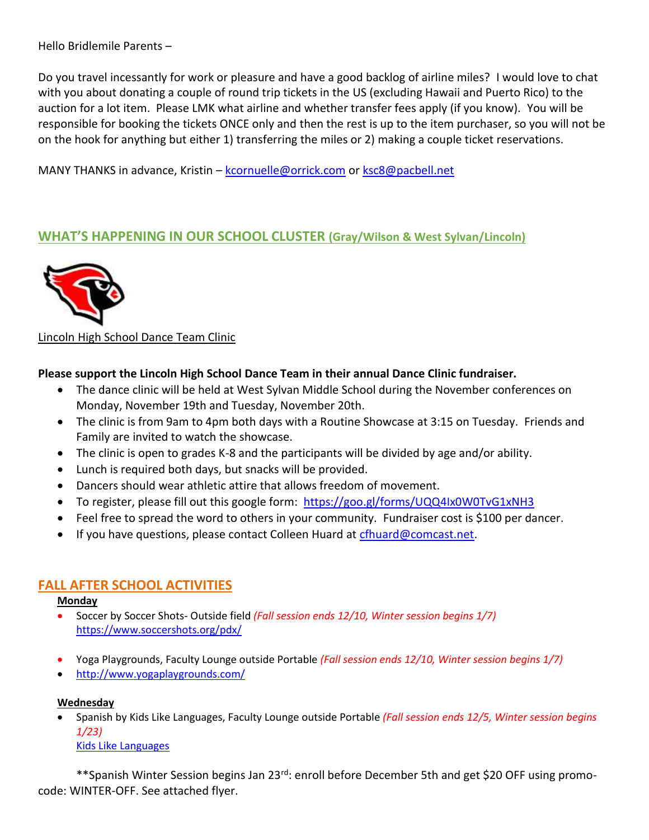Hello Bridlemile Parents –

Do you travel incessantly for work or pleasure and have a good backlog of airline miles? I would love to chat with you about donating a couple of round trip tickets in the US (excluding Hawaii and Puerto Rico) to the auction for a lot item. Please LMK what airline and whether transfer fees apply (if you know). You will be responsible for booking the tickets ONCE only and then the rest is up to the item purchaser, so you will not be on the hook for anything but either 1) transferring the miles or 2) making a couple ticket reservations.

MANY THANKS in advance, Kristin – [kcornuelle@orrick.com](mailto:kcornuelle@orrick.com) or [ksc8@pacbell.net](mailto:ksc8@pacbell.net)

# **WHAT'S HAPPENING IN OUR SCHOOL CLUSTER (Gray/Wilson & West Sylvan/Lincoln)**



# Lincoln High School Dance Team Clinic

# **Please support the Lincoln High School Dance Team in their annual Dance Clinic fundraiser.**

- The dance clinic will be held at West Sylvan Middle School during the November conferences on Monday, November 19th and Tuesday, November 20th.
- The clinic is from 9am to 4pm both days with a Routine Showcase at 3:15 on Tuesday. Friends and Family are invited to watch the showcase.
- The clinic is open to grades K-8 and the participants will be divided by age and/or ability.
- Lunch is required both days, but snacks will be provided.
- Dancers should wear athletic attire that allows freedom of movement.
- To register, please fill out this google form: <https://goo.gl/forms/UQQ4Ix0W0TvG1xNH3>
- Feel free to spread the word to others in your community. Fundraiser cost is \$100 per dancer.
- If you have questions, please contact Colleen Huard at [cfhuard@comcast.net.](mailto:cfhuard@comcast.net)

# **FALL AFTER SCHOOL ACTIVITIES**

### **Monday**

- Soccer by Soccer Shots- Outside field *(Fall session ends 12/10, Winter session begins 1/7)* <https://www.soccershots.org/pdx/>
- Yoga Playgrounds, Faculty Lounge outside Portable *(Fall session ends 12/10, Winter session begins 1/7)*
- <http://www.yogaplaygrounds.com/>

### **Wednesday**

• Spanish by Kids Like Languages, Faculty Lounge outside Portable *(Fall session ends 12/5, Winter session begins 1/23)*

[Kids Like Languages](http://www.kidslikelanguages.com/)

\*\*Spanish Winter Session begins Jan 23<sup>rd</sup>: enroll before December 5th and get \$20 OFF using promocode: WINTER-OFF. See attached flyer.